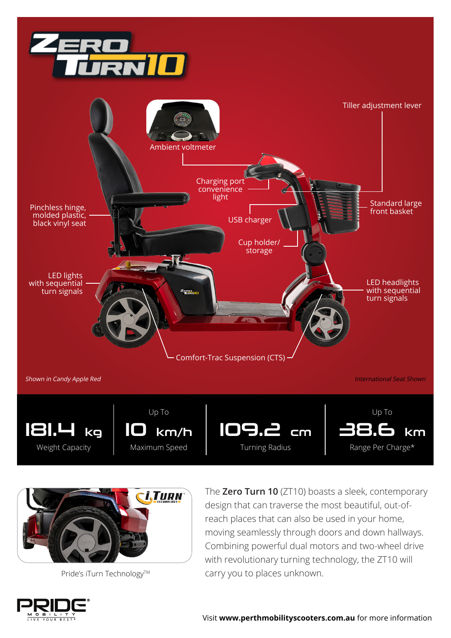





Pride's iTurn Technology™

The **Zero Turn 10** (ZT10) boasts a sleek, contemporary design that can traverse the most beautiful, out-ofreach places that can also be used in your home, moving seamlessly through doors and down hallways. Combining powerful dual motors and two-wheel drive with revolutionary turning technology, the ZT10 will carry you to places unknown.